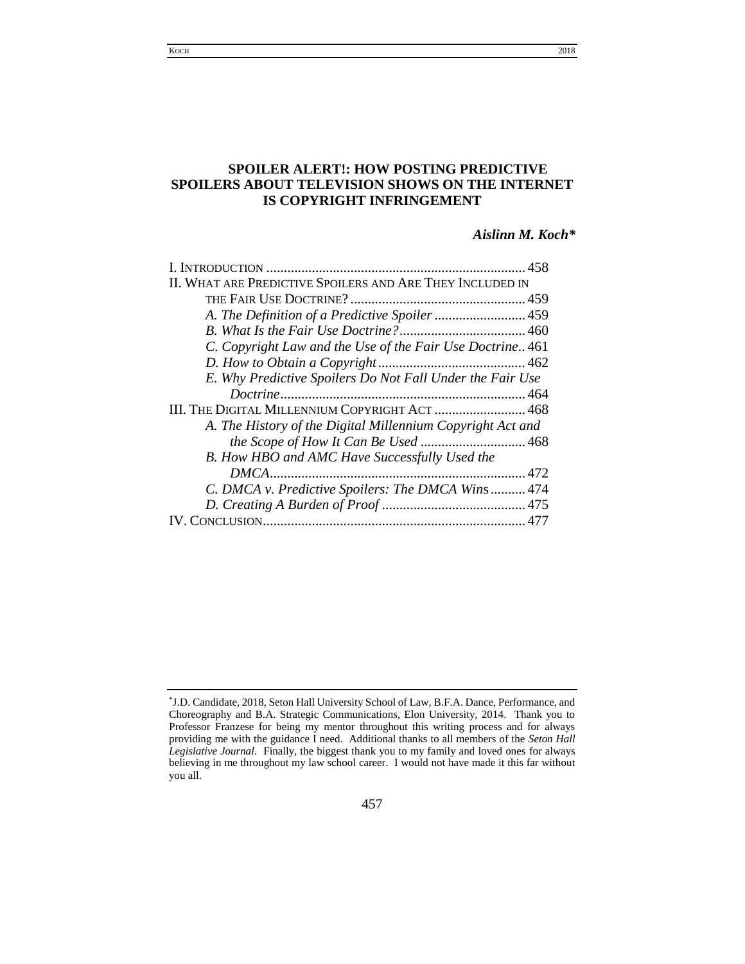# **SPOILER ALERT!: HOW POSTING PREDICTIVE SPOILERS ABOUT TELEVISION SHOWS ON THE INTERNET IS COPYRIGHT INFRINGEMENT**

# *Aislinn M. Koch\**

| II. WHAT ARE PREDICTIVE SPOILERS AND ARE THEY INCLUDED IN  |  |
|------------------------------------------------------------|--|
|                                                            |  |
| A. The Definition of a Predictive Spoiler  459             |  |
|                                                            |  |
| C. Copyright Law and the Use of the Fair Use Doctrine 461  |  |
|                                                            |  |
| E. Why Predictive Spoilers Do Not Fall Under the Fair Use  |  |
|                                                            |  |
| III. THE DIGITAL MILLENNIUM COPYRIGHT ACT  468             |  |
| A. The History of the Digital Millennium Copyright Act and |  |
|                                                            |  |
| B. How HBO and AMC Have Successfully Used the              |  |
|                                                            |  |
| C. DMCA v. Predictive Spoilers: The DMCA Wins  474         |  |
|                                                            |  |
| <b>IV. CONCLUSION.</b>                                     |  |
|                                                            |  |

457

<span id="page-0-0"></span><sup>\*</sup> J.D. Candidate, 2018, Seton Hall University School of Law, B.F.A. Dance, Performance, and Choreography and B.A. Strategic Communications, Elon University, 2014. Thank you to Professor Franzese for being my mentor throughout this writing process and for always providing me with the guidance I need. Additional thanks to all members of the *Seton Hall Legislative Journal*. Finally, the biggest thank you to my family and loved ones for always believing in me throughout my law school career. I would not have made it this far without you all.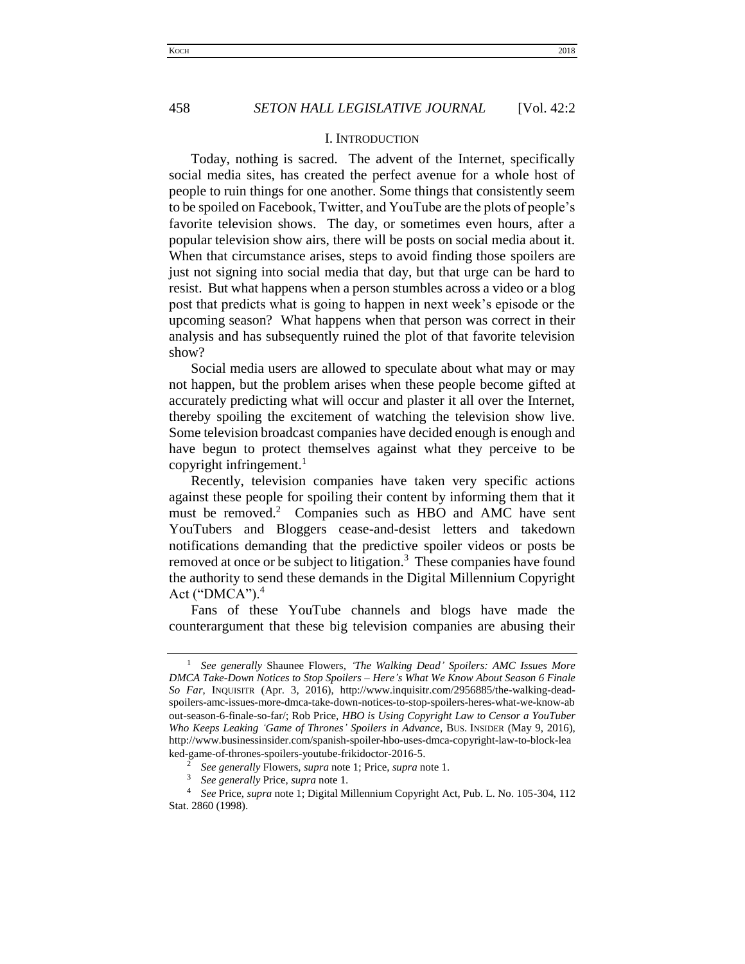## I. INTRODUCTION

Today, nothing is sacred. The advent of the Internet, specifically social media sites, has created the perfect avenue for a whole host of people to ruin things for one another. Some things that consistently seem to be spoiled on Facebook, Twitter, and YouTube are the plots of people's favorite television shows. The day, or sometimes even hours, after a popular television show airs, there will be posts on social media about it. When that circumstance arises, steps to avoid finding those spoilers are just not signing into social media that day, but that urge can be hard to resist. But what happens when a person stumbles across a video or a blog post that predicts what is going to happen in next week's episode or the upcoming season? What happens when that person was correct in their analysis and has subsequently ruined the plot of that favorite television show?

Social media users are allowed to speculate about what may or may not happen, but the problem arises when these people become gifted at accurately predicting what will occur and plaster it all over the Internet, thereby spoiling the excitement of watching the television show live. Some television broadcast companies have decided enough is enough and have begun to protect themselves against what they perceive to be copyright infringement. $\frac{1}{1}$ 

Recently, television companies have taken very specific actions against these people for spoiling their content by informing them that it must be removed.<sup>2</sup> Companies such as HBO and AMC have sent YouTubers and Bloggers cease-and-desist letters and takedown notifications demanding that the predictive spoiler videos or posts be removed at once or be subject to litigation. $3$  These companies have found the authority to send these demands in the Digital Millennium Copyright Act (" $DMCA$ ").<sup>4</sup>

Fans of these YouTube channels and blogs have made the counterargument that these big television companies are abusing their

<sup>1</sup> *See generally* Shaunee Flowers, *'The Walking Dead' Spoilers: AMC Issues More DMCA Take-Down Notices to Stop Spoilers – Here's What We Know About Season 6 Finale So Far*, INQUISITR (Apr. 3, 2016), http://www.inquisitr.com/2956885/the-walking-deadspoilers-amc-issues-more-dmca-take-down-notices-to-stop-spoilers-heres-what-we-know-ab out-season-6-finale-so-far/; Rob Price, *HBO is Using Copyright Law to Censor a YouTuber Who Keeps Leaking 'Game of Thrones' Spoilers in Advance*, BUS. INSIDER (May 9, 2016), http://www.businessinsider.com/spanish-spoiler-hbo-uses-dmca-copyright-law-to-block-lea ked-game-of-thrones-spoilers-youtube-frikidoctor-2016-5.

<sup>2</sup> *See generally* Flowers, *supra* note 1; Price, *supra* note 1.

<sup>3</sup> *See generally* Price, *supra* note 1.

<sup>4</sup> *See* Price, *supra* note 1; Digital Millennium Copyright Act, Pub. L. No. 105-304, 112 Stat. 2860 (1998).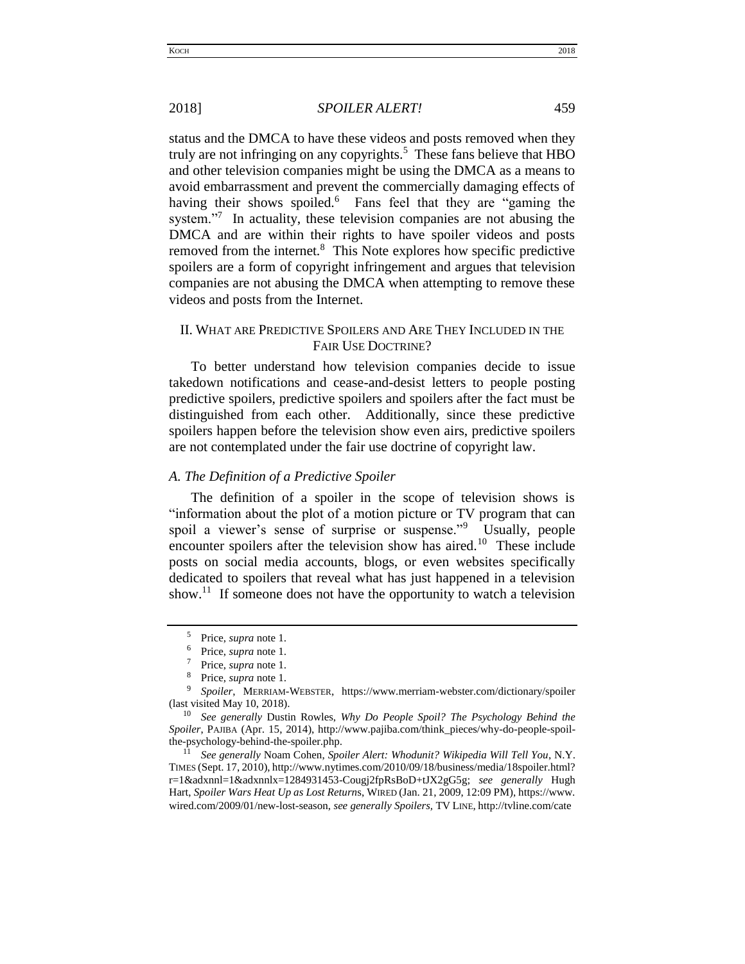2018] *SPOILER ALERT!* 459 status and the DMCA to have these videos and posts removed when they

truly are not infringing on any copyrights.<sup>5</sup> These fans believe that  $HBO$ and other television companies might be using the DMCA as a means to avoid embarrassment and prevent the commercially damaging effects of having their shows spoiled.<sup>6</sup> Fans feel that they are "gaming the system. $\frac{1}{7}$  In actuality, these television companies are not abusing the DMCA and are within their rights to have spoiler videos and posts removed from the internet.<sup>8</sup> This Note explores how specific predictive spoilers are a form of copyright infringement and argues that television companies are not abusing the DMCA when attempting to remove these videos and posts from the Internet.

# <span id="page-2-0"></span>II. WHAT ARE PREDICTIVE SPOILERS AND ARE THEY INCLUDED IN THE FAIR USE DOCTRINE?

To better understand how television companies decide to issue takedown notifications and cease-and-desist letters to people posting predictive spoilers, predictive spoilers and spoilers after the fact must be distinguished from each other. Additionally, since these predictive spoilers happen before the television show even airs, predictive spoilers are not contemplated under the fair use doctrine of copyright law.

## <span id="page-2-1"></span>*A. The Definition of a Predictive Spoiler*

The definition of a spoiler in the scope of television shows is "information about the plot of a motion picture or TV program that can spoil a viewer's sense of surprise or suspense."<sup>9</sup> Usually, people encounter spoilers after the television show has aired.<sup>10</sup> These include posts on social media accounts, blogs, or even websites specifically dedicated to spoilers that reveal what has just happened in a television show.<sup>11</sup> If someone does not have the opportunity to watch a television

<sup>11</sup> *See generally* Noam Cohen, *Spoiler Alert: Whodunit? Wikipedia Will Tell You*, N.Y. TIMES (Sept. 17, 2010), http://www.nytimes.com/2010/09/18/business/media/18spoiler.html? r=1&adxnnl=1&adxnnlx=1284931453-Cougj2fpRsBoD+tJX2gG5g; *see generally* Hugh Hart, *Spoiler Wars Heat Up as Lost Return*s, WIRED (Jan. 21, 2009, 12:09 PM), https://www. wired.com/2009/01/new-lost-season, *see generally Spoilers,* TV LINE, http://tvline.com/cate

<sup>5</sup> Price, *supra* note 1.

<sup>6</sup> Price, *supra* note 1.

<sup>7</sup> Price, *supra* note 1.

<sup>8</sup> Price, *supra* note 1.

<sup>9</sup> *Spoiler*, MERRIAM-WEBSTER, https://www.merriam-webster.com/dictionary/spoiler (last visited May 10, 2018).

<sup>10</sup> *See generally* Dustin Rowles, *Why Do People Spoil? The Psychology Behind the Spoiler*, PAJIBA (Apr. 15, 2014), http://www.pajiba.com/think\_pieces/why-do-people-spoilthe-psychology-behind-the-spoiler.php.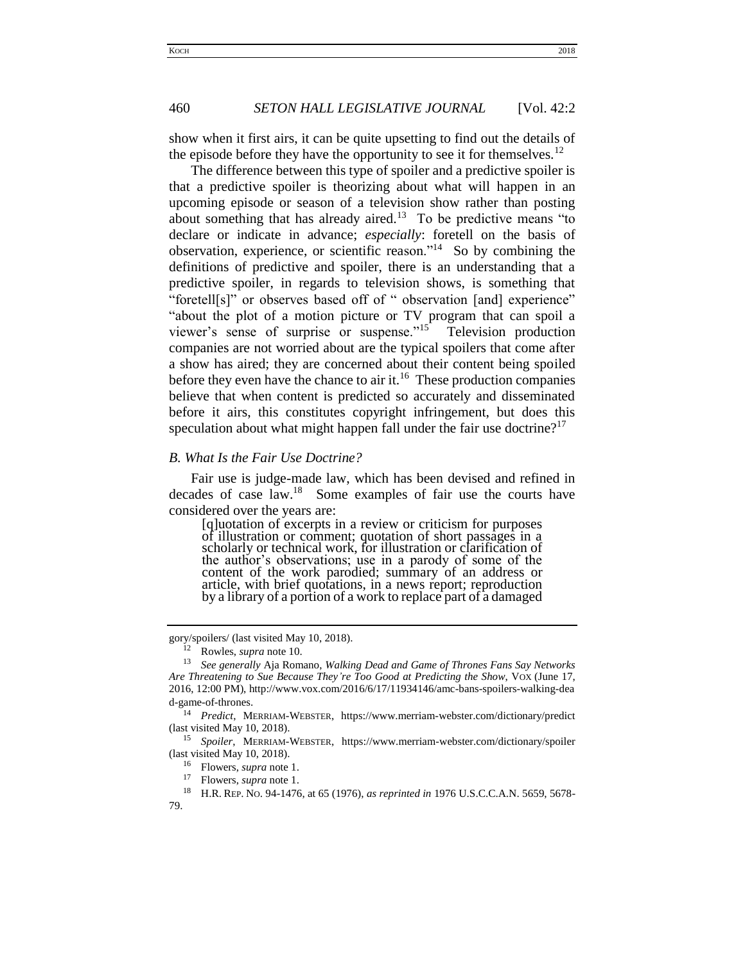show when it first airs, it can be quite upsetting to find out the details of the episode before they have the opportunity to see it for themselves.<sup>12</sup>

The difference between this type of spoiler and a predictive spoiler is that a predictive spoiler is theorizing about what will happen in an upcoming episode or season of a television show rather than posting about something that has already aired.<sup>13</sup> To be predictive means "to declare or indicate in advance; *especially*: foretell on the basis of observation, experience, or scientific reason."<sup>14</sup> So by combining the definitions of predictive and spoiler, there is an understanding that a predictive spoiler, in regards to television shows, is something that "foretell[s]" or observes based off of " observation [and] experience" "about the plot of a motion picture or TV program that can spoil a viewer's sense of surprise or suspense."<sup>15</sup> Television production companies are not worried about are the typical spoilers that come after a show has aired; they are concerned about their content being spoiled before they even have the chance to air it.<sup>16</sup> These production companies believe that when content is predicted so accurately and disseminated before it airs, this constitutes copyright infringement, but does this speculation about what might happen fall under the fair use doctrine?<sup>17</sup>

## <span id="page-3-0"></span>*B. What Is the Fair Use Doctrine?*

Fair use is judge-made law, which has been devised and refined in decades of case law.<sup>18</sup> Some examples of fair use the courts have considered over the years are:

[q]uotation of excerpts in a review or criticism for purposes of illustration or comment; quotation of short passages in a scholarly or technical work, for illustration or clarification of the author's observations; use in a parody of some of the content of the work parodied; summary of an address or article, with brief quotations, in a news report; reproduction by a library of a portion of a work to replace part of a damaged

<sup>17</sup> Flowers, *supra* note 1.<br><sup>18</sup> H P P<sub>FP</sub> No. 04, 1476

gory/spoilers/ (last visited May 10, 2018).

<sup>12</sup> Rowles, *supra* note 10.

<sup>13</sup> *See generally* Aja Romano, *Walking Dead and Game of Thrones Fans Say Networks Are Threatening to Sue Because They're Too Good at Predicting the Show*, VOX (June 17, 2016, 12:00 PM), http://www.vox.com/2016/6/17/11934146/amc-bans-spoilers-walking-dea d-game-of-thrones.

<sup>14</sup> *Predict*, MERRIAM-WEBSTER, https://www.merriam-webster.com/dictionary/predict (last visited May 10, 2018).

<sup>15</sup> *Spoiler*, MERRIAM-WEBSTER, https://www.merriam-webster.com/dictionary/spoiler (last visited May 10, 2018).

<sup>16</sup> Flowers, *supra* note 1.

<sup>18</sup> H.R. REP. NO. 94-1476, at 65 (1976), *as reprinted in* 1976 U.S.C.C.A.N. 5659, 5678- 79.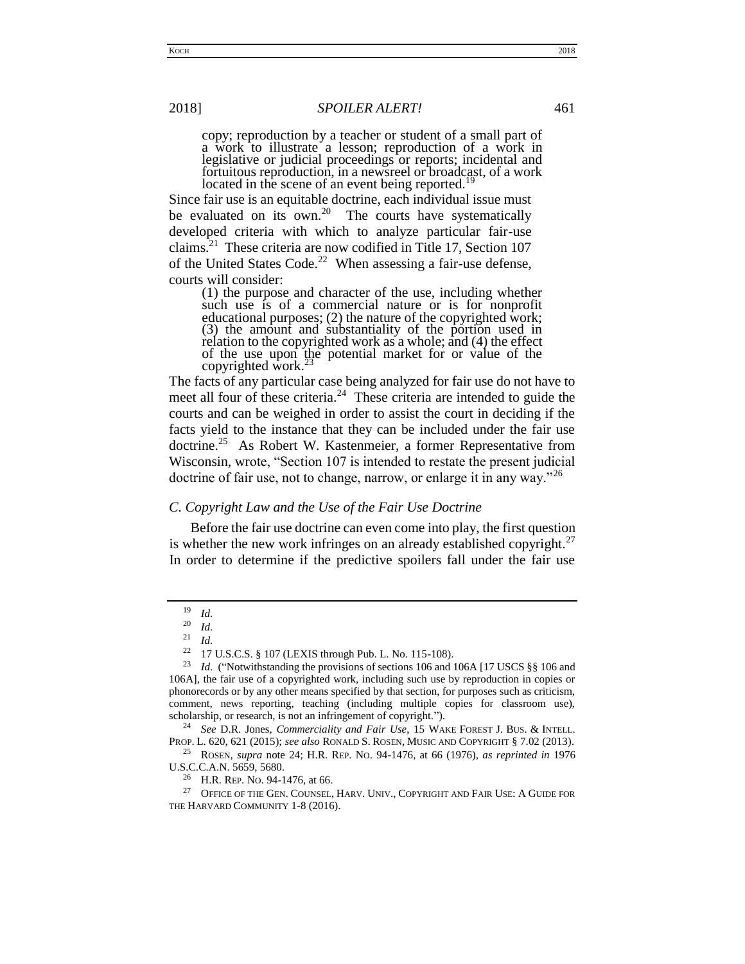copy; reproduction by a teacher or student of a small part of a work to illustrate a lesson; reproduction of a work in legislative or judicial proceedings or reports; incidental and fortuitous reproduction, in a newsreel or broadcast, of a work located in the scene of an event being reported.<sup>19</sup>

Since fair use is an equitable doctrine, each individual issue must be evaluated on its own.<sup>20</sup> The courts have systematically developed criteria with which to analyze particular fair-use claims.<sup>21</sup> These criteria are now codified in Title 17, Section 107 of the United States Code.<sup>22</sup> When assessing a fair-use defense, courts will consider:

(1) the purpose and character of the use, including whether such use is of a commercial nature or is for nonprofit educational purposes; (2) the nature of the copyrighted work; (3) the amount and substantiality of the portion used in relation to the copyrighted work as a whole; and (4) the effect of the use upon the potential market for or value of the copyrighted work. $^{23}$ 

The facts of any particular case being analyzed for fair use do not have to meet all four of these criteria.<sup>24</sup> These criteria are intended to guide the courts and can be weighed in order to assist the court in deciding if the facts yield to the instance that they can be included under the fair use doctrine.<sup>25</sup> As Robert W. Kastenmeier, a former Representative from Wisconsin, wrote, "Section 107 is intended to restate the present judicial doctrine of fair use, not to change, narrow, or enlarge it in any way."<sup>26</sup>

## <span id="page-4-0"></span>*C. Copyright Law and the Use of the Fair Use Doctrine*

 Before the fair use doctrine can even come into play, the first question is whether the new work infringes on an already established copyright. $27$ In order to determine if the predictive spoilers fall under the fair use

<sup>24</sup> *See* D.R. Jones, *Commerciality and Fair Use*, 15 WAKE FOREST J. BUS. & INTELL. PROP. L. 620, 621 (2015); *see also* RONALD S. ROSEN, MUSIC AND COPYRIGHT § 7.02 (2013).

<sup>26</sup> H.R. REP. NO. 94-1476, at 66.

 $\frac{19}{20}$  *Id.* 

 $\frac{20}{21}$  *Id. Id.* 

<sup>22</sup> 17 U.S.C.S. § 107 (LEXIS through Pub. L. No. 115-108).

<sup>&</sup>lt;sup>23</sup> *Id.* ("Notwithstanding the provisions of sections 106 and 106A [17 USCS §§ 106 and 106A], the fair use of a copyrighted work, including such use by reproduction in copies or phonorecords or by any other means specified by that section, for purposes such as criticism, comment, news reporting, teaching (including multiple copies for classroom use), scholarship, or research, is not an infringement of copyright.").

<sup>25</sup> ROSEN, *supra* note 24; H.R. REP. NO. 94-1476, at 66 (1976), *as reprinted in* 1976 U.S.C.C.A.N. 5659, 5680.

 $^{27}$  OFFICE OF THE GEN. COUNSEL, HARV. UNIV., COPYRIGHT AND FAIR USE: A GUIDE FOR THE HARVARD COMMUNITY 1-8 (2016).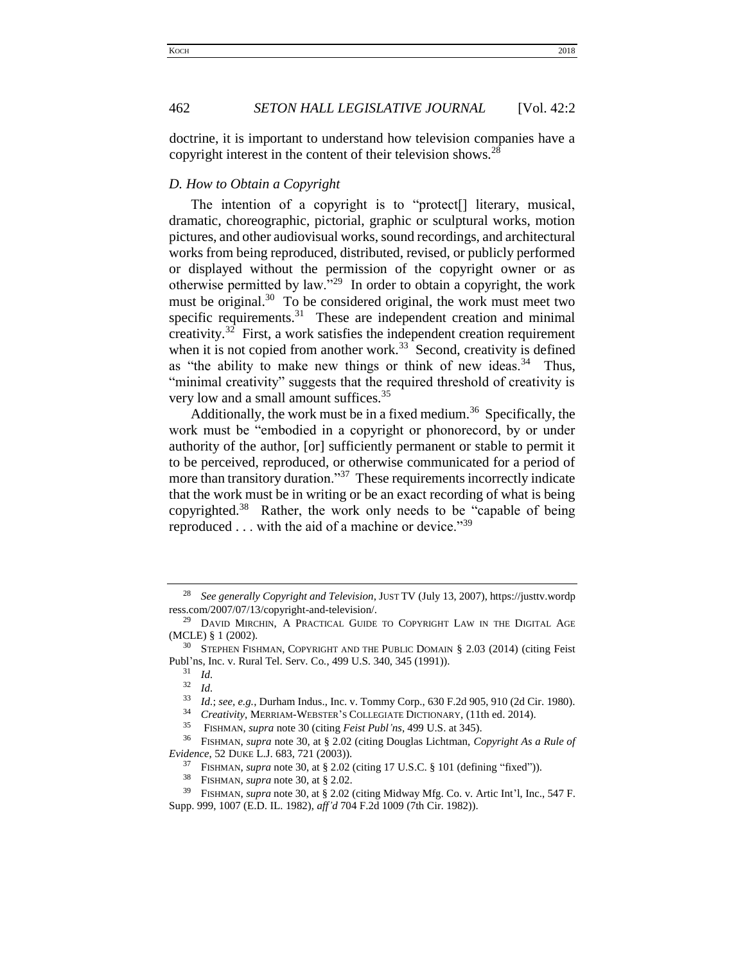doctrine, it is important to understand how television companies have a copyright interest in the content of their television shows. $^{28}$ 

## <span id="page-5-0"></span>*D. How to Obtain a Copyright*

The intention of a copyright is to "protect[] literary, musical, dramatic, choreographic, pictorial, graphic or sculptural works, motion pictures, and other audiovisual works, sound recordings, and architectural works from being reproduced, distributed, revised, or publicly performed or displayed without the permission of the copyright owner or as otherwise permitted by law."<sup>29</sup> In order to obtain a copyright, the work must be original.<sup>30</sup> To be considered original, the work must meet two specific requirements. $31$  These are independent creation and minimal creativity.<sup>32</sup> First, a work satisfies the independent creation requirement when it is not copied from another work.<sup>33</sup> Second, creativity is defined as "the ability to make new things or think of new ideas. $34$  Thus, "minimal creativity" suggests that the required threshold of creativity is very low and a small amount suffices.<sup>35</sup>

Additionally, the work must be in a fixed medium.<sup>36</sup> Specifically, the work must be "embodied in a copyright or phonorecord, by or under authority of the author, [or] sufficiently permanent or stable to permit it to be perceived, reproduced, or otherwise communicated for a period of more than transitory duration."<sup>37</sup> These requirements incorrectly indicate that the work must be in writing or be an exact recording of what is being copyrighted.<sup>38</sup> Rather, the work only needs to be "capable of being reproduced . . . with the aid of a machine or device."<sup>39</sup>

<sup>28</sup> *See generally Copyright and Television*, JUST TV (July 13, 2007), https://justtv.wordp ress.com/2007/07/13/copyright-and-television/.

<sup>&</sup>lt;sup>29</sup> DAVID MIRCHIN, A PRACTICAL GUIDE TO COPYRIGHT LAW IN THE DIGITAL AGE (MCLE) § 1 (2002).

<sup>30</sup> STEPHEN FISHMAN, COPYRIGHT AND THE PUBLIC DOMAIN § 2.03 (2014) (citing Feist Publ'ns, Inc. v. Rural Tel. Serv. Co*.*, 499 U.S. 340, 345 (1991)).

 $rac{31}{32}$  *Id.* 

<sup>32</sup> *Id.* 

<sup>33</sup> *Id.*; *see, e.g.*, Durham Indus., Inc. v. Tommy Corp., 630 F.2d 905, 910 (2d Cir. 1980).

<sup>34</sup> *Creativity*, MERRIAM-WEBSTER'S COLLEGIATE DICTIONARY, (11th ed. 2014).

<sup>35</sup> FISHMAN, *supra* note 30 (citing *Feist Publ'ns*, 499 U.S. at 345).

<sup>36</sup> FISHMAN, *supra* note 30, at § 2.02 (citing Douglas Lichtman, *Copyright As a Rule of Evidence*, 52 DUKE L.J. 683, 721 (2003)).

<sup>37</sup> FISHMAN, *supra* note 30, at § 2.02 (citing 17 U.S.C. § 101 (defining "fixed")).

<sup>38</sup> FISHMAN, *supra* note 30, at § 2.02.

<sup>39</sup> FISHMAN, *supra* note 30, at § 2.02 (citing Midway Mfg. Co. v. Artic Int'l, Inc., 547 F. Supp. 999, 1007 (E.D. IL. 1982), *aff'd* 704 F.2d 1009 (7th Cir. 1982)).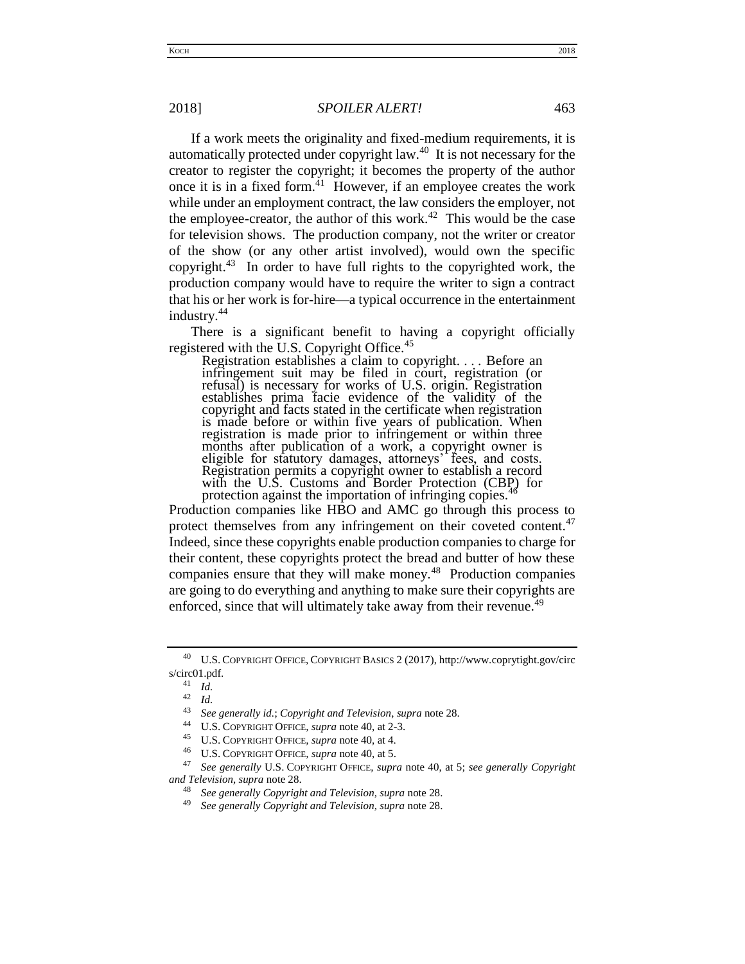#### 2018] *SPOILER ALERT!* 463

If a work meets the originality and fixed-medium requirements, it is automatically protected under copyright law.<sup>40</sup> It is not necessary for the creator to register the copyright; it becomes the property of the author once it is in a fixed form. $41$  However, if an employee creates the work while under an employment contract, the law considers the employer, not the employee-creator, the author of this work.<sup> $42$ </sup> This would be the case for television shows. The production company, not the writer or creator of the show (or any other artist involved), would own the specific copyright. $43$  In order to have full rights to the copyrighted work, the production company would have to require the writer to sign a contract that his or her work is for-hire—a typical occurrence in the entertainment industry.<sup>44</sup>

There is a significant benefit to having a copyright officially registered with the U.S. Copyright Office.<sup>45</sup>

Registration establishes a claim to copyright. . . . Before an infringement suit may be filed in court, registration (or refusal) is necessary for works of U.S. origin. Registration establishes prima facie evidence of the validity of the copyright and facts stated in the certificate when registration is made before or within five years of publication. When registration is made prior to infringement or within three months after publication of a work, a copyright owner is eligible for statutory damages, attorneys' fees, and costs. Registration permits a copyright owner to establish a record with the U.S. Customs and Border Protection (CBP) for protection against the importation of infringing copies.

Production companies like HBO and AMC go through this process to protect themselves from any infringement on their coveted content.<sup>47</sup> Indeed, since these copyrights enable production companies to charge for their content, these copyrights protect the bread and butter of how these companies ensure that they will make money.<sup>48</sup> Production companies are going to do everything and anything to make sure their copyrights are enforced, since that will ultimately take away from their revenue.<sup>49</sup>

<sup>40</sup> U.S. COPYRIGHT OFFICE, COPYRIGHT BASICS 2 (2017), http://www.coprytight.gov/circ s/circ01.pdf.

<sup>41</sup> *Id.* 

 $rac{42}{43}$  *Id.* 

<sup>43</sup> *See generally id.*; *Copyright and Television*, *supra* note 28.

<sup>44</sup> U.S. COPYRIGHT OFFICE*, supra* note 40, at 2-3.

<sup>45</sup> U.S. COPYRIGHT OFFICE*, supra* note 40, at 4.

<sup>46</sup> U.S. COPYRIGHT OFFICE*, supra* note 40, at 5.

<sup>47</sup> *See generally* U.S. COPYRIGHT OFFICE*, supra* note 40, at 5; *see generally Copyright and Television, supra* note 28.

<sup>48</sup> *See generally Copyright and Television, supra* note 28.

<sup>49</sup> *See generally Copyright and Television, supra* note 28.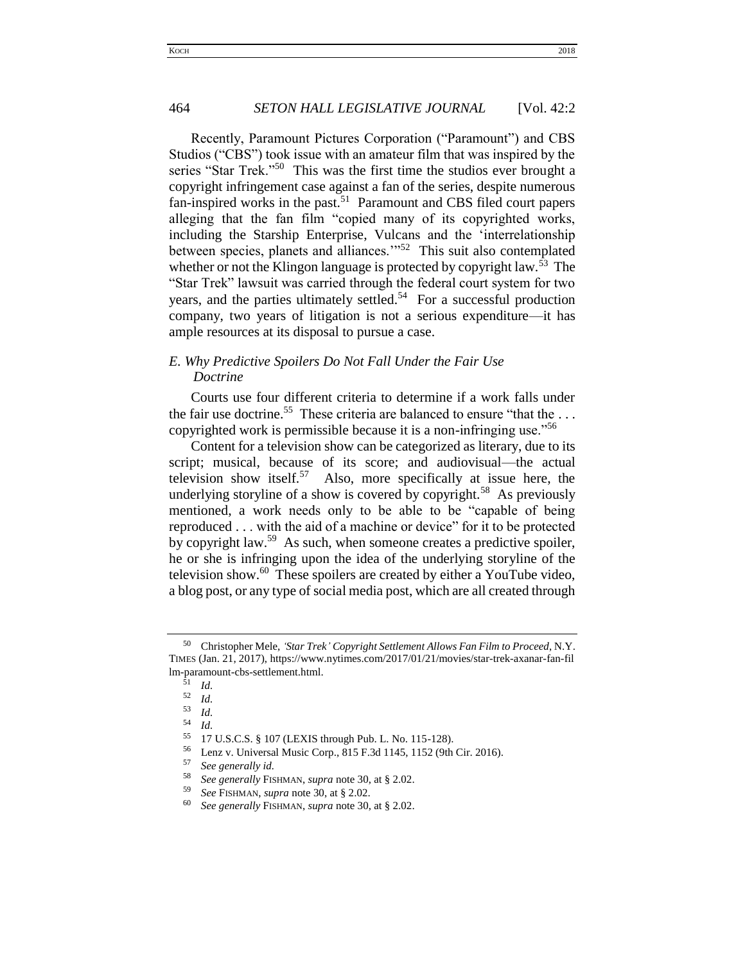Recently, Paramount Pictures Corporation ("Paramount") and CBS Studios ("CBS") took issue with an amateur film that was inspired by the series "Star Trek."<sup>50</sup> This was the first time the studios ever brought a copyright infringement case against a fan of the series, despite numerous fan-inspired works in the past.<sup>51</sup> Paramount and CBS filed court papers alleging that the fan film "copied many of its copyrighted works, including the Starship Enterprise, Vulcans and the 'interrelationship between species, planets and alliances."<sup>52</sup> This suit also contemplated whether or not the Klingon language is protected by copyright law.<sup>53</sup> The "Star Trek" lawsuit was carried through the federal court system for two years, and the parties ultimately settled.<sup>54</sup> For a successful production company, two years of litigation is not a serious expenditure—it has ample resources at its disposal to pursue a case.

# <span id="page-7-0"></span>*E. Why Predictive Spoilers Do Not Fall Under the Fair Use Doctrine*

Courts use four different criteria to determine if a work falls under the fair use doctrine.<sup>55</sup> These criteria are balanced to ensure "that the ... copyrighted work is permissible because it is a non-infringing use."<sup>56</sup>

Content for a television show can be categorized as literary, due to its script; musical, because of its score; and audiovisual—the actual television show itself.<sup>57</sup> Also, more specifically at issue here, the underlying storyline of a show is covered by copyright.<sup>58</sup> As previously mentioned, a work needs only to be able to be "capable of being reproduced . . . with the aid of a machine or device" for it to be protected by copyright law.<sup>59</sup> As such, when someone creates a predictive spoiler, he or she is infringing upon the idea of the underlying storyline of the television show.<sup>60</sup> These spoilers are created by either a YouTube video, a blog post, or any type of social media post, which are all created through

<sup>50</sup> Christopher Mele, *'Star Trek' Copyright Settlement Allows Fan Film to Proceed*, N.Y. TIMES (Jan. 21, 2017), https://www.nytimes.com/2017/01/21/movies/star-trek-axanar-fan-fil lm-paramount-cbs-settlement.html.

 $\frac{51}{52}$  *Id.* 

 $\frac{52}{53}$  *Id.* 

 $\begin{array}{cc} 53 & Id. \\ 54 & Id. \end{array}$ 

 $\frac{54}{55}$  *Id.* 

<sup>55</sup> 17 U.S.C.S. § 107 (LEXIS through Pub. L. No. 115-128).

<sup>&</sup>lt;sup>56</sup> Lenz v. Universal Music Corp., 815 F.3d 1145, 1152 (9th Cir. 2016).

<sup>57</sup> *See generally id.* 

<sup>58</sup> *See generally* FISHMAN, *supra* note 30, at § 2.02.

<sup>59</sup> *See* FISHMAN, *supra* note 30, at § 2.02.

<sup>60</sup> *See generally* FISHMAN, *supra* note 30, at § 2.02.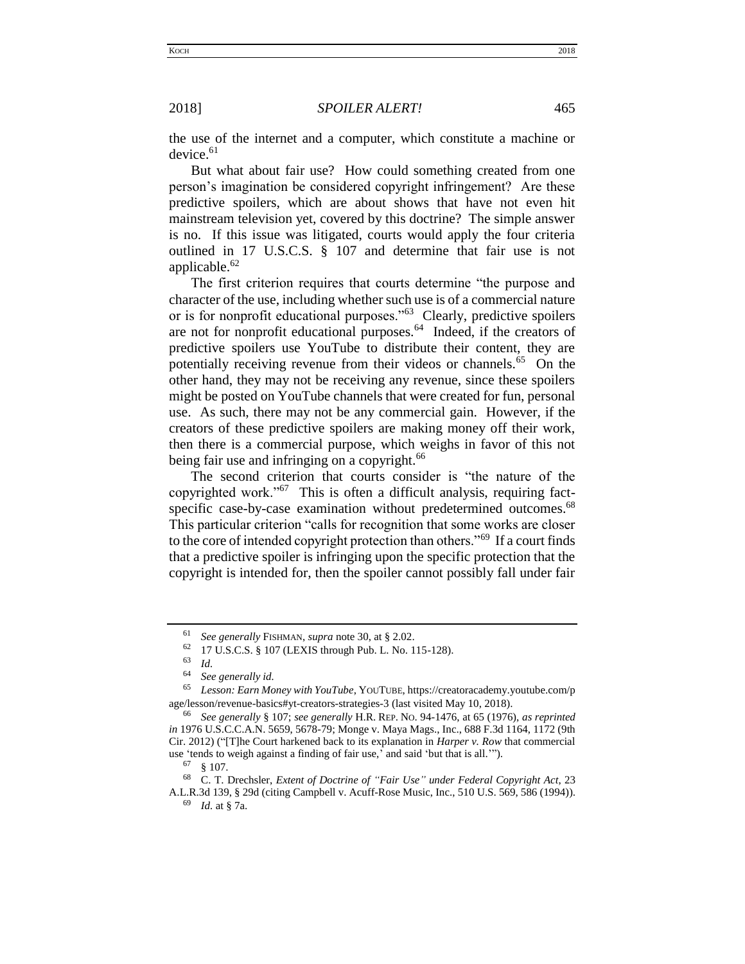the use of the internet and a computer, which constitute a machine or  $device.<sup>61</sup>$ 

But what about fair use? How could something created from one person's imagination be considered copyright infringement? Are these predictive spoilers, which are about shows that have not even hit mainstream television yet, covered by this doctrine? The simple answer is no. If this issue was litigated, courts would apply the four criteria outlined in 17 U.S.C.S. § 107 and determine that fair use is not applicable.<sup>62</sup>

The first criterion requires that courts determine "the purpose and character of the use, including whether such use is of a commercial nature or is for nonprofit educational purposes."<sup>63</sup> Clearly, predictive spoilers are not for nonprofit educational purposes.<sup>64</sup> Indeed, if the creators of predictive spoilers use YouTube to distribute their content, they are potentially receiving revenue from their videos or channels.<sup>65</sup> On the other hand, they may not be receiving any revenue, since these spoilers might be posted on YouTube channels that were created for fun, personal use. As such, there may not be any commercial gain. However, if the creators of these predictive spoilers are making money off their work, then there is a commercial purpose, which weighs in favor of this not being fair use and infringing on a copyright.<sup>66</sup>

The second criterion that courts consider is "the nature of the copyrighted work."<sup>67</sup> This is often a difficult analysis, requiring factspecific case-by-case examination without predetermined outcomes.<sup>68</sup> This particular criterion "calls for recognition that some works are closer to the core of intended copyright protection than others."<sup>69</sup> If a court finds that a predictive spoiler is infringing upon the specific protection that the copyright is intended for, then the spoiler cannot possibly fall under fair

<sup>61</sup> *See generally* FISHMAN, *supra* note 30, at § 2.02.

 $^{62}$  17 U.S.C.S. § 107 (LEXIS through Pub. L. No. 115-128).

 $\frac{63}{64}$  *Id.* 

See generally id.

<sup>65</sup> *Lesson: Earn Money with YouTube*, YOUTUBE, https://creatoracademy.youtube.com/p age/lesson/revenue-basics#yt-creators-strategies-3 (last visited May 10, 2018).

<sup>66</sup> *See generally* § 107; *see generally* H.R. REP. NO. 94-1476, at 65 (1976), *as reprinted in* 1976 U.S.C.C.A.N. 5659, 5678-79; Monge v. Maya Mags., Inc., 688 F.3d 1164, 1172 (9th Cir. 2012) ("[T]he Court harkened back to its explanation in *Harper v. Row* that commercial use 'tends to weigh against a finding of fair use,' and said 'but that is all.'").

<sup>67</sup> § 107.

<sup>68</sup> C. T. Drechsler, *Extent of Doctrine of "Fair Use" under Federal Copyright Act*, 23 A.L.R.3d 139, § 29d (citing Campbell v. Acuff-Rose Music, Inc., 510 U.S. 569, 586 (1994)).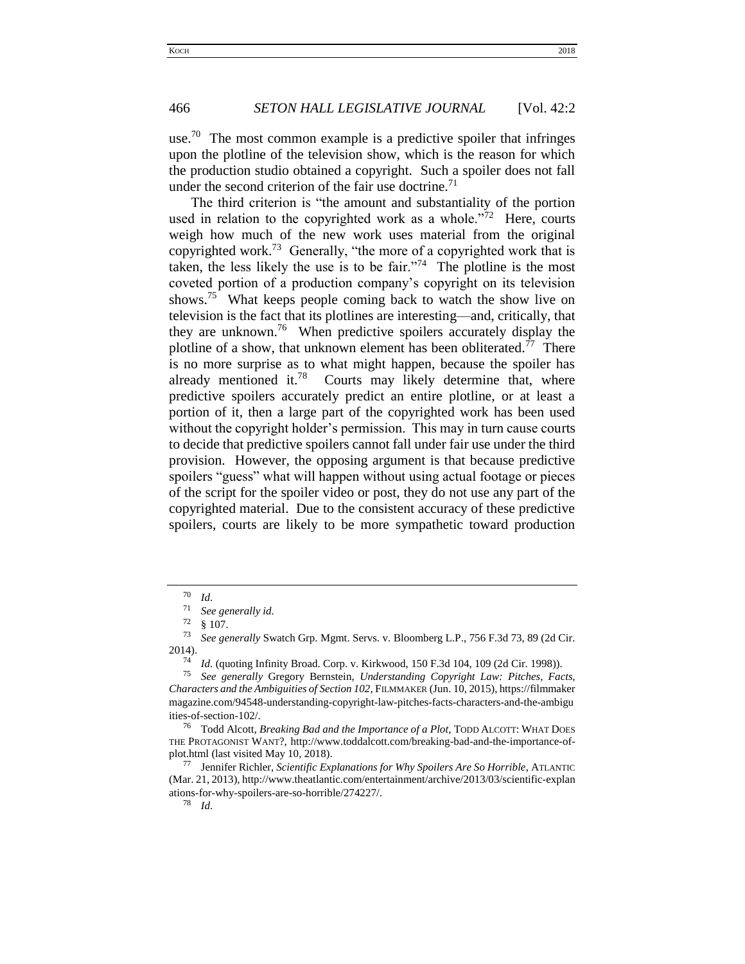use.<sup>70</sup> The most common example is a predictive spoiler that infringes upon the plotline of the television show, which is the reason for which the production studio obtained a copyright. Such a spoiler does not fall under the second criterion of the fair use doctrine.<sup>71</sup>

The third criterion is "the amount and substantiality of the portion used in relation to the copyrighted work as a whole."<sup>72</sup> Here, courts weigh how much of the new work uses material from the original copyrighted work.<sup>73</sup> Generally, "the more of a copyrighted work that is taken, the less likely the use is to be fair."<sup>74</sup> The plotline is the most coveted portion of a production company's copyright on its television shows.<sup>75</sup> What keeps people coming back to watch the show live on television is the fact that its plotlines are interesting—and, critically, that they are unknown.<sup>76</sup> When predictive spoilers accurately display the plotline of a show, that unknown element has been obliterated.<sup>77</sup> There is no more surprise as to what might happen, because the spoiler has already mentioned it.<sup>78</sup> Courts may likely determine that, where predictive spoilers accurately predict an entire plotline, or at least a portion of it, then a large part of the copyrighted work has been used without the copyright holder's permission. This may in turn cause courts to decide that predictive spoilers cannot fall under fair use under the third provision. However, the opposing argument is that because predictive spoilers "guess" what will happen without using actual footage or pieces of the script for the spoiler video or post, they do not use any part of the copyrighted material. Due to the consistent accuracy of these predictive spoilers, courts are likely to be more sympathetic toward production

 $\frac{70}{71}$  *Id.* 

See generally id.

 $\frac{72}{73}$  § 107.

<sup>73</sup> *See generally* Swatch Grp. Mgmt. Servs. v. Bloomberg L.P., 756 F.3d 73, 89 (2d Cir.  $2014$ ).

<sup>&</sup>lt;sup>74</sup> *Id.* (quoting Infinity Broad. Corp. v. Kirkwood, 150 F.3d 104, 109 (2d Cir. 1998)).<br><sup>75</sup> See generally Grocory Bernstein, Understanding Convright Law, Pitches, Eac

<sup>75</sup> *See generally* Gregory Bernstein, *Understanding Copyright Law: Pitches, Facts, Characters and the Ambiguities of Section 102*, FILMMAKER (Jun. 10, 2015), https://filmmaker magazine.com/94548-understanding-copyright-law-pitches-facts-characters-and-the-ambigu ities-of-section-102/.<br> $^{76}$  Todd Algorite

<sup>76</sup> Todd Alcott, *Breaking Bad and the Importance of a Plot,* TODD ALCOTT: WHAT DOES THE PROTAGONIST WANT?, http://www.toddalcott.com/breaking-bad-and-the-importance-ofplot.html (last visited May 10, 2018).

<sup>77</sup> Jennifer Richler, *Scientific Explanations for Why Spoilers Are So Horrible*, ATLANTIC (Mar. 21, 2013), http://www.theatlantic.com/entertainment/archive/2013/03/scientific-explan ations-for-why-spoilers-are-so-horrible/274227/.<br> $\frac{78}{1}$  *M* 

*Id.*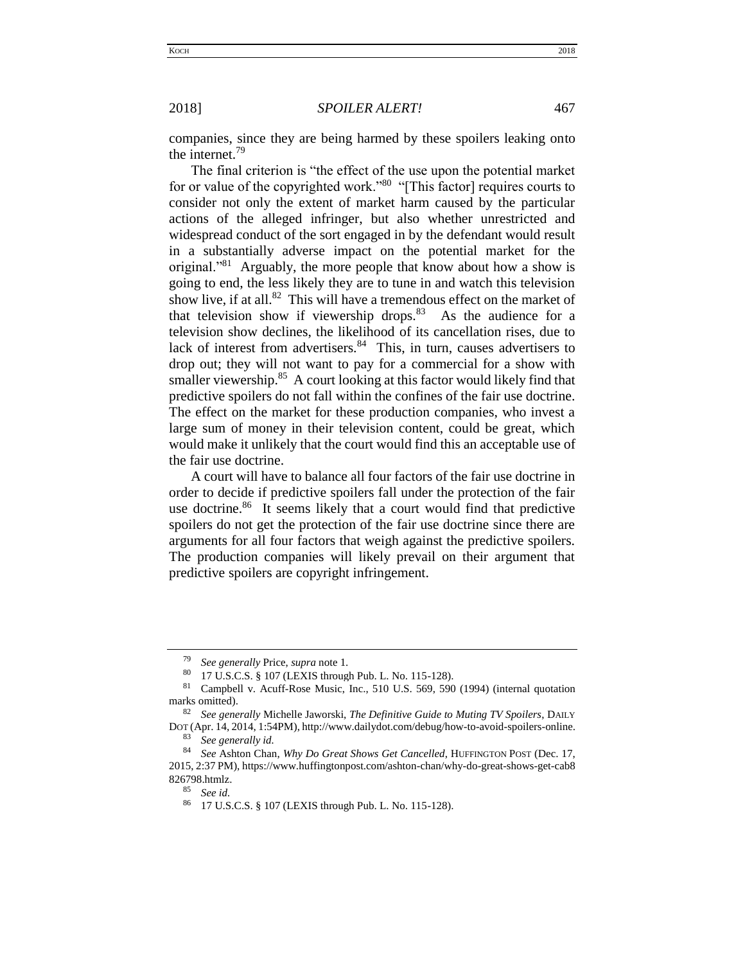companies, since they are being harmed by these spoilers leaking onto the internet.<sup>79</sup>

The final criterion is "the effect of the use upon the potential market for or value of the copyrighted work."<sup>80</sup> "[This factor] requires courts to consider not only the extent of market harm caused by the particular actions of the alleged infringer, but also whether unrestricted and widespread conduct of the sort engaged in by the defendant would result in a substantially adverse impact on the potential market for the original."<sup>81</sup> Arguably, the more people that know about how a show is going to end, the less likely they are to tune in and watch this television show live, if at all. $82$  This will have a tremendous effect on the market of that television show if viewership drops. $83$  As the audience for a television show declines, the likelihood of its cancellation rises, due to lack of interest from advertisers.<sup>84</sup> This, in turn, causes advertisers to drop out; they will not want to pay for a commercial for a show with smaller viewership.<sup>85</sup> A court looking at this factor would likely find that predictive spoilers do not fall within the confines of the fair use doctrine. The effect on the market for these production companies, who invest a large sum of money in their television content, could be great, which would make it unlikely that the court would find this an acceptable use of the fair use doctrine.

A court will have to balance all four factors of the fair use doctrine in order to decide if predictive spoilers fall under the protection of the fair use doctrine.<sup>86</sup> It seems likely that a court would find that predictive spoilers do not get the protection of the fair use doctrine since there are arguments for all four factors that weigh against the predictive spoilers. The production companies will likely prevail on their argument that predictive spoilers are copyright infringement.

<sup>79</sup> *See generally* Price, *supra* note 1.

<sup>80</sup> 17 U.S.C.S. § 107 (LEXIS through Pub. L. No. 115-128).

<sup>81</sup> Campbell v. Acuff-Rose Music, Inc., 510 U.S. 569, 590 (1994) (internal quotation marks omitted).

<sup>82</sup> *See generally* Michelle Jaworski, *The Definitive Guide to Muting TV Spoilers*, DAILY

DOT (Apr. 14, 2014, 1:54PM), http://www.dailydot.com/debug/how-to-avoid-spoilers-online. <sup>83</sup> *See generally id.*

<sup>84</sup> *See* Ashton Chan, *Why Do Great Shows Get Cancelled*, HUFFINGTON POST (Dec. 17, 2015, 2:37 PM), https://www.huffingtonpost.com/ashton-chan/why-do-great-shows-get-cab8 826798.htmlz.

<sup>85</sup> *See id.* 

<sup>86</sup> 17 U.S.C.S. § 107 (LEXIS through Pub. L. No. 115-128).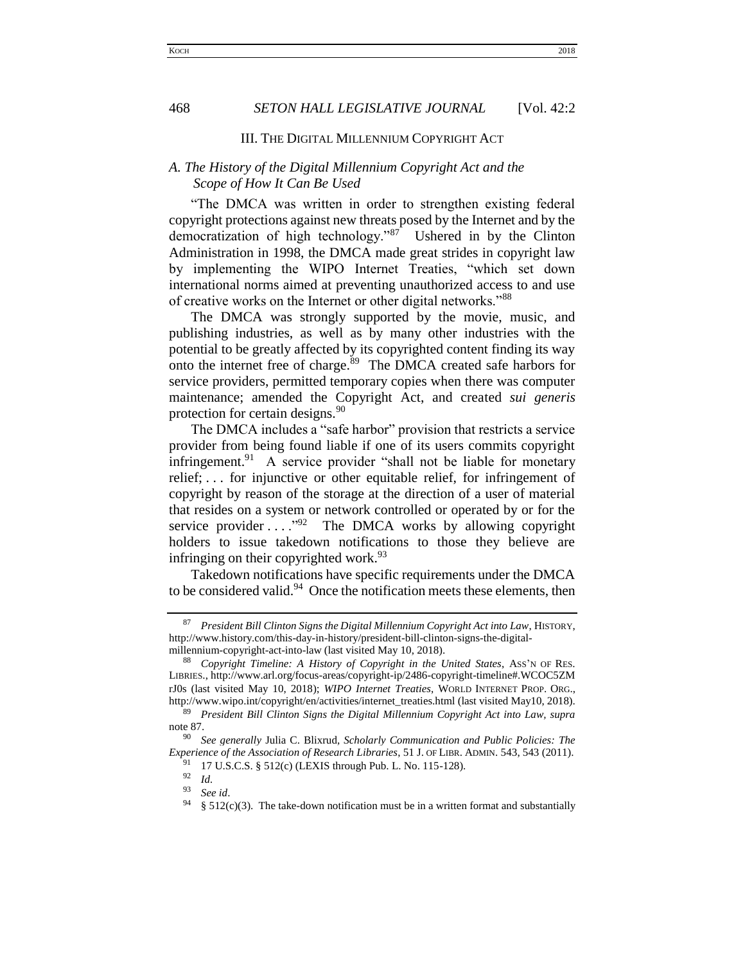## III. THE DIGITAL MILLENNIUM COPYRIGHT ACT

# <span id="page-11-1"></span><span id="page-11-0"></span>*A. The History of the Digital Millennium Copyright Act and the Scope of How It Can Be Used*

"The DMCA was written in order to strengthen existing federal copyright protections against new threats posed by the Internet and by the democratization of high technology."<sup>87</sup> Ushered in by the Clinton Administration in 1998, the DMCA made great strides in copyright law by implementing the WIPO Internet Treaties, "which set down international norms aimed at preventing unauthorized access to and use of creative works on the Internet or other digital networks."<sup>88</sup>

The DMCA was strongly supported by the movie, music, and publishing industries, as well as by many other industries with the potential to be greatly affected by its copyrighted content finding its way onto the internet free of charge. $89$  The DMCA created safe harbors for service providers, permitted temporary copies when there was computer maintenance; amended the Copyright Act, and created *sui generis* protection for certain designs.<sup>90</sup>

The DMCA includes a "safe harbor" provision that restricts a service provider from being found liable if one of its users commits copyright infringement.<sup>91</sup> A service provider "shall not be liable for monetary relief; . . . for injunctive or other equitable relief, for infringement of copyright by reason of the storage at the direction of a user of material that resides on a system or network controlled or operated by or for the service provider  $\ldots$ <sup>92</sup> The DMCA works by allowing copyright holders to issue takedown notifications to those they believe are infringing on their copyrighted work.<sup>93</sup>

Takedown notifications have specific requirements under the DMCA to be considered valid.<sup>94</sup> Once the notification meets these elements, then

<sup>87</sup> *President Bill Clinton Signs the Digital Millennium Copyright Act into Law*, HISTORY, http://www.history.com/this-day-in-history/president-bill-clinton-signs-the-digitalmillennium-copyright-act-into-law (last visited May 10, 2018).

<sup>88</sup> *Copyright Timeline: A History of Copyright in the United States*, ASS'N OF RES. LIBRIES., http://www.arl.org/focus-areas/copyright-ip/2486-copyright-timeline#.WCOC5ZM rJ0s (last visited May 10, 2018); *WIPO Internet Treaties*, WORLD INTERNET PROP. ORG., http://www.wipo.int/copyright/en/activities/internet\_treaties.html (last visited May10, 2018).

<sup>89</sup> *President Bill Clinton Signs the Digital Millennium Copyright Act into Law, supra*  note 87.

<sup>90</sup> *See generally* Julia C. Blixrud*, Scholarly Communication and Public Policies: The Experience of the Association of Research Libraries*, 51 J. OF LIBR. ADMIN. 543, 543 (2011).

<sup>&</sup>lt;sup>91</sup> 17 U.S.C.S. § 512(c) (LEXIS through Pub. L. No. 115-128).

<sup>92</sup> *Id.*

<sup>93</sup> *See id*.

 $§ 512(c)(3)$ . The take-down notification must be in a written format and substantially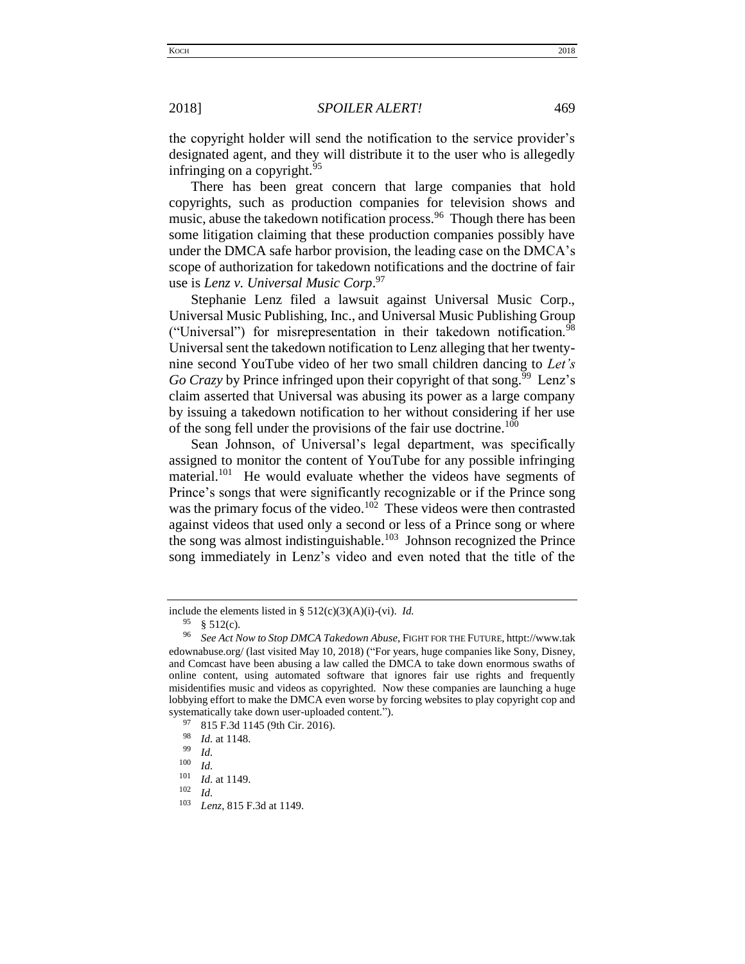the copyright holder will send the notification to the service provider's designated agent, and they will distribute it to the user who is allegedly infringing on a copyright.  $95$ 

There has been great concern that large companies that hold copyrights, such as production companies for television shows and music, abuse the takedown notification process.<sup>96</sup> Though there has been some litigation claiming that these production companies possibly have under the DMCA safe harbor provision, the leading case on the DMCA's scope of authorization for takedown notifications and the doctrine of fair use is *Lenz v. Universal Music Corp*. 97

Stephanie Lenz filed a lawsuit against Universal Music Corp., Universal Music Publishing, Inc., and Universal Music Publishing Group ("Universal") for misrepresentation in their takedown notification.<sup>98</sup> Universal sent the takedown notification to Lenz alleging that her twentynine second YouTube video of her two small children dancing to *Let's*  Go Crazy by Prince infringed upon their copyright of that song.<sup> $99$ </sup> Lenz's claim asserted that Universal was abusing its power as a large company by issuing a takedown notification to her without considering if her use of the song fell under the provisions of the fair use doctrine.<sup>100</sup>

Sean Johnson, of Universal's legal department, was specifically assigned to monitor the content of YouTube for any possible infringing material.<sup>101</sup> He would evaluate whether the videos have segments of Prince's songs that were significantly recognizable or if the Prince song was the primary focus of the video.<sup>102</sup> These videos were then contrasted against videos that used only a second or less of a Prince song or where the song was almost indistinguishable.<sup>103</sup> Johnson recognized the Prince song immediately in Lenz's video and even noted that the title of the

include the elements listed in § 512(c)(3)(A)(i)-(vi). *Id.*

 $^{95}$  § 512(c).<br>
96 See Act N

<sup>96</sup> *See Act Now to Stop DMCA Takedown Abuse*, FIGHT FOR THE FUTURE, httpt://www.tak edownabuse.org/ (last visited May 10, 2018) ("For years, huge companies like Sony, Disney, and Comcast have been abusing a law called the DMCA to take down enormous swaths of online content, using automated software that ignores fair use rights and frequently misidentifies music and videos as copyrighted. Now these companies are launching a huge lobbying effort to make the DMCA even worse by forcing websites to play copyright cop and systematically take down user-uploaded content.").<br> $^{97}$  915 E 3d 1145 (0th Cir. 2016)

 $^{97}$  815 F.3d 1145 (9th Cir. 2016).

 $\frac{98}{99}$  *Id.* at 1148.

 $\frac{99}{100}$  *Id.* 

 $\frac{100}{101}$  *Id.* 

 $\frac{101}{102}$  *Id.* at 1149.

 $\frac{102}{103}$  *Id.* 

Lenz, 815 F.3d at 1149.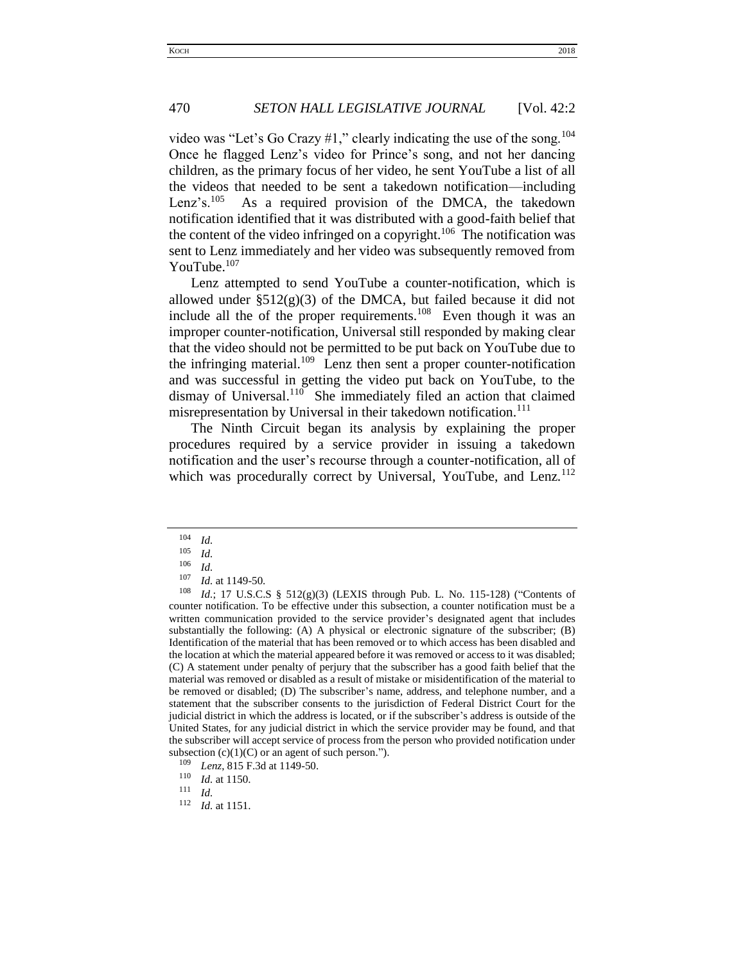video was "Let's Go Crazy #1," clearly indicating the use of the song.<sup>104</sup> Once he flagged Lenz's video for Prince's song, and not her dancing children, as the primary focus of her video, he sent YouTube a list of all the videos that needed to be sent a takedown notification—including Lenz's. $^{105}$  As a required provision of the DMCA, the takedown notification identified that it was distributed with a good-faith belief that the content of the video infringed on a copyright.<sup>106</sup> The notification was sent to Lenz immediately and her video was subsequently removed from YouTube.<sup>107</sup>

Lenz attempted to send YouTube a counter-notification, which is allowed under  $\S512(g)(3)$  of the DMCA, but failed because it did not include all the of the proper requirements.<sup>108</sup> Even though it was an improper counter-notification, Universal still responded by making clear that the video should not be permitted to be put back on YouTube due to the infringing material.<sup>109</sup> Lenz then sent a proper counter-notification and was successful in getting the video put back on YouTube, to the dismay of Universal.<sup>110</sup> She immediately filed an action that claimed misrepresentation by Universal in their takedown notification.<sup>111</sup>

The Ninth Circuit began its analysis by explaining the proper procedures required by a service provider in issuing a takedown notification and the user's recourse through a counter-notification, all of which was procedurally correct by Universal, YouTube, and Lenz.<sup>112</sup>

 $\frac{104}{105}$  *Id.* 

 $\frac{105}{106}$  *Id.* 

*Id.* 

 $\frac{107}{108}$  *Id.* at 1149-50.

*Id.*; 17 U.S.C.S § 512(g)(3) (LEXIS through Pub. L. No. 115-128) ("Contents of counter notification. To be effective under this subsection, a counter notification must be a written communication provided to the service provider's designated agent that includes substantially the following: (A) A physical or electronic signature of the subscriber; (B) Identification of the material that has been removed or to which access has been disabled and the location at which the material appeared before it was removed or access to it was disabled; (C) A statement under penalty of perjury that the subscriber has a good faith belief that the material was removed or disabled as a result of mistake or misidentification of the material to be removed or disabled; (D) The subscriber's name, address, and telephone number, and a statement that the subscriber consents to the jurisdiction of Federal District Court for the judicial district in which the address is located, or if the subscriber's address is outside of the United States, for any judicial district in which the service provider may be found, and that the subscriber will accept service of process from the person who provided notification under subsection  $(c)(1)(C)$  or an agent of such person.").

<sup>&</sup>lt;sup>109</sup> *Lenz*, 815 F.3d at 1149-50.

 $\frac{110}{111}$  *Id.* at 1150.

 $\frac{111}{112}$  *Id.* 

*Id.* at 1151.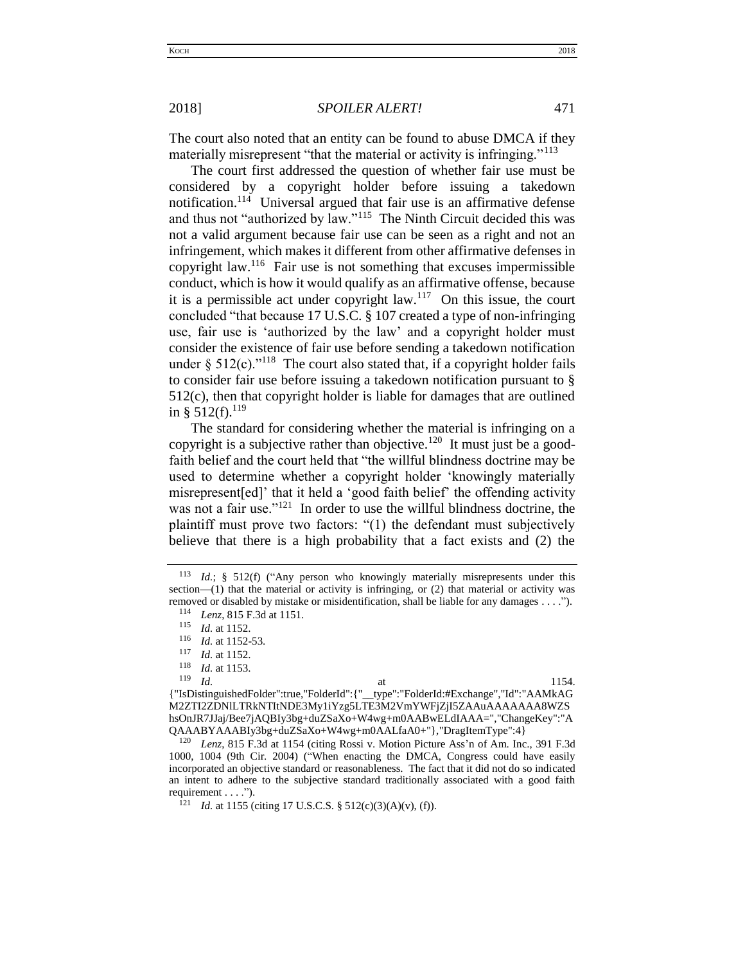The court also noted that an entity can be found to abuse DMCA if they materially misrepresent "that the material or activity is infringing."<sup>113</sup>

The court first addressed the question of whether fair use must be considered by a copyright holder before issuing a takedown notification.<sup>114</sup> Universal argued that fair use is an affirmative defense and thus not "authorized by law."<sup>115</sup> The Ninth Circuit decided this was not a valid argument because fair use can be seen as a right and not an infringement, which makes it different from other affirmative defenses in copyright law.<sup>116</sup> Fair use is not something that excuses impermissible conduct, which is how it would qualify as an affirmative offense, because it is a permissible act under copyright law.<sup>117</sup> On this issue, the court concluded "that because 17 U.S.C. § 107 created a type of non-infringing use, fair use is 'authorized by the law' and a copyright holder must consider the existence of fair use before sending a takedown notification under §  $512(c)$ ."<sup>118</sup> The court also stated that, if a copyright holder fails to consider fair use before issuing a takedown notification pursuant to § 512(c), then that copyright holder is liable for damages that are outlined in § 512(f).<sup>119</sup>

The standard for considering whether the material is infringing on a copyright is a subjective rather than objective.<sup>120</sup> It must just be a goodfaith belief and the court held that "the willful blindness doctrine may be used to determine whether a copyright holder 'knowingly materially misrepresent[ed]' that it held a 'good faith belief' the offending activity was not a fair use."<sup>121</sup> In order to use the willful blindness doctrine, the plaintiff must prove two factors: "(1) the defendant must subjectively believe that there is a high probability that a fact exists and (2) the

{"IsDistinguishedFolder":true,"FolderId":{"\_\_type":"FolderId:#Exchange","Id":"AAMkAG M2ZTI2ZDNlLTRkNTItNDE3My1iYzg5LTE3M2VmYWFjZjI5ZAAuAAAAAAA8WZS hsOnJR7JJaj/Bee7jAQBIy3bg+duZSaXo+W4wg+m0AABwELdIAAA=","ChangeKey":"A  $QAABYAAABIy3bg+duZSAX0+W4wg+m0AALfaA0+"$ , "DragItemType":4}

Lenz, 815 F.3d at 1154 (citing Rossi v. Motion Picture Ass'n of Am. Inc., 391 F.3d 1000, 1004 (9th Cir. 2004) ("When enacting the DMCA, Congress could have easily incorporated an objective standard or reasonableness. The fact that it did not do so indicated an intent to adhere to the subjective standard traditionally associated with a good faith requirement  $\dots$ ").

*Id.* at 1155 (citing 17 U.S.C.S. § 512(c)(3)(A)(v), (f)).

<sup>113</sup> *Id.*; § 512(f) ("Any person who knowingly materially misrepresents under this section—(1) that the material or activity is infringing, or (2) that material or activity was removed or disabled by mistake or misidentification, shall be liable for any damages . . . .").

<sup>114</sup> *Lenz*, 815 F.3d at 1151.

 $\frac{115}{116}$  *Id.* at 1152.

 $\frac{116}{117}$  *Id.* at 1152-53.

 $\frac{117}{118}$  *Id.* at 1152.

 $\frac{118}{119}$  *Id.* at 1153.

<sup>119</sup> *Id.* at 1154.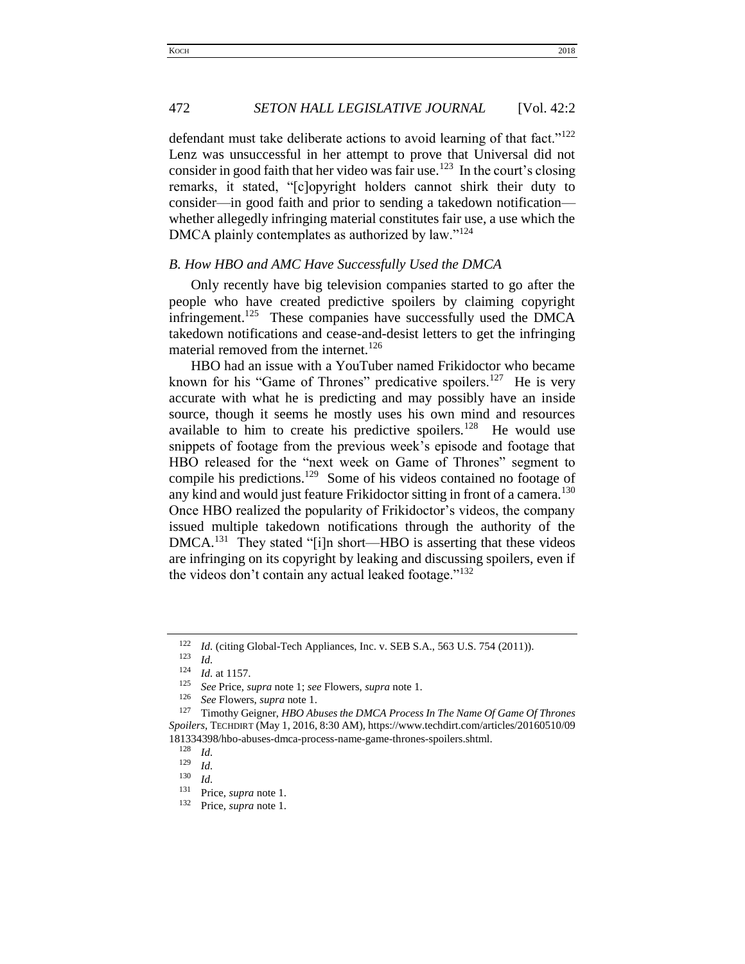defendant must take deliberate actions to avoid learning of that fact."<sup>122</sup> Lenz was unsuccessful in her attempt to prove that Universal did not consider in good faith that her video was fair use.<sup>123</sup> In the court's closing remarks, it stated, "[c]opyright holders cannot shirk their duty to consider—in good faith and prior to sending a takedown notification whether allegedly infringing material constitutes fair use, a use which the DMCA plainly contemplates as authorized by law."<sup>124</sup>

## <span id="page-15-0"></span>*B. How HBO and AMC Have Successfully Used the DMCA*

Only recently have big television companies started to go after the people who have created predictive spoilers by claiming copyright infringement.<sup>125</sup> These companies have successfully used the DMCA takedown notifications and cease-and-desist letters to get the infringing material removed from the internet.<sup>126</sup>

HBO had an issue with a YouTuber named Frikidoctor who became known for his "Game of Thrones" predicative spoilers.<sup>127</sup> He is very accurate with what he is predicting and may possibly have an inside source, though it seems he mostly uses his own mind and resources available to him to create his predictive spoilers.<sup>128</sup> He would use snippets of footage from the previous week's episode and footage that HBO released for the "next week on Game of Thrones" segment to compile his predictions.<sup>129</sup> Some of his videos contained no footage of any kind and would just feature Frikidoctor sitting in front of a camera.<sup>130</sup> Once HBO realized the popularity of Frikidoctor's videos, the company issued multiple takedown notifications through the authority of the DMCA.<sup>131</sup> They stated "[i]n short—HBO is asserting that these videos are infringing on its copyright by leaking and discussing spoilers, even if the videos don't contain any actual leaked footage."<sup>132</sup>

<sup>&</sup>lt;sup>122</sup> *Id.* (citing Global-Tech Appliances, Inc. v. SEB S.A., 563 U.S. 754 (2011)).

 $\frac{123}{124}$  *Id.* 

<sup>&</sup>lt;sup>124</sup> *Id.* at 1157.<br><sup>125</sup> See Price s

<sup>125</sup> *See* Price, *supra* note 1; *see* Flowers, *supra* note 1.

<sup>&</sup>lt;sup>126</sup> *See* Flowers, *supra* note 1.<br><sup>127</sup> Timothy Goigner, HRO Ab

<sup>127</sup> Timothy Geigner, *HBO Abuses the DMCA Process In The Name Of Game Of Thrones Spoilers*, TECHDIRT (May 1, 2016, 8:30 AM), https://www.techdirt.com/articles/20160510/09 181334398/hbo-abuses-dmca-process-name-game-thrones-spoilers.shtml.

 $\frac{128}{129}$  *Id.* 

 $\frac{129}{130}$  *Id.* 

<sup>130</sup> *Id.*

<sup>&</sup>lt;sup>131</sup> Price, *supra* note 1.

Price, *supra* note 1.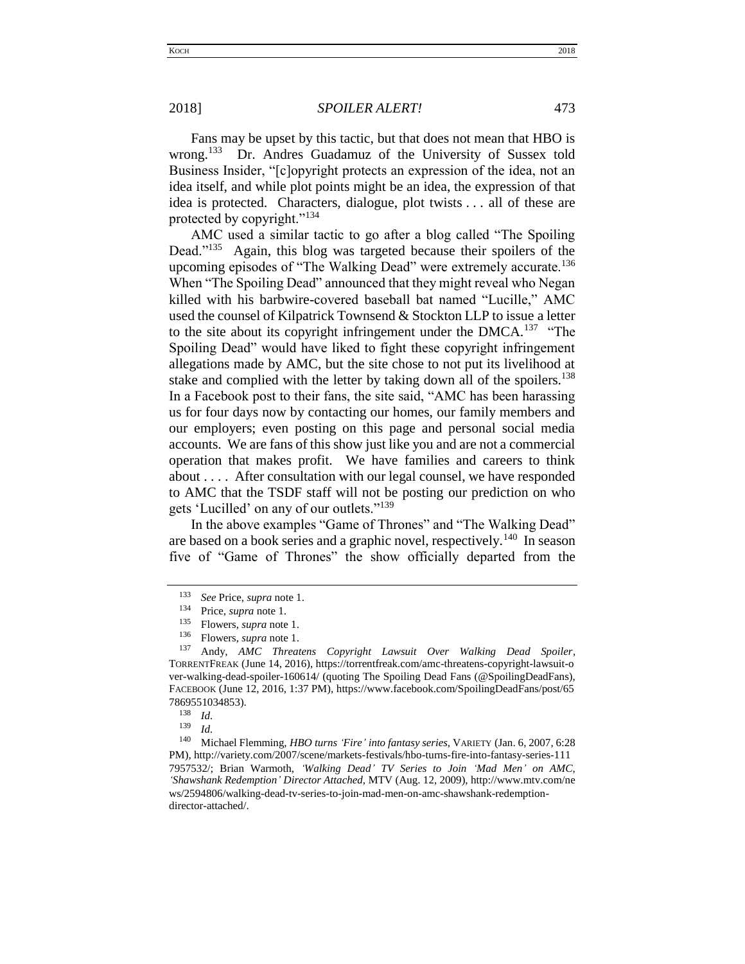2018] *SPOILER ALERT!* 473

Fans may be upset by this tactic, but that does not mean that HBO is wrong.<sup>133</sup> Dr. Andres Guadamuz of the University of Sussex told Business Insider, "[c]opyright protects an expression of the idea, not an idea itself, and while plot points might be an idea, the expression of that idea is protected. Characters, dialogue, plot twists . . . all of these are protected by copyright."<sup>134</sup>

AMC used a similar tactic to go after a blog called "The Spoiling Dead."<sup>135</sup> Again, this blog was targeted because their spoilers of the upcoming episodes of "The Walking Dead" were extremely accurate.<sup>136</sup> When "The Spoiling Dead" announced that they might reveal who Negan killed with his barbwire-covered baseball bat named "Lucille," AMC used the counsel of Kilpatrick Townsend & Stockton LLP to issue a letter to the site about its copyright infringement under the  $DMCA$ <sup>137</sup> "The Spoiling Dead" would have liked to fight these copyright infringement allegations made by AMC, but the site chose to not put its livelihood at stake and complied with the letter by taking down all of the spoilers.<sup>138</sup> In a Facebook post to their fans, the site said, "AMC has been harassing us for four days now by contacting our homes, our family members and our employers; even posting on this page and personal social media accounts. We are fans of this show just like you and are not a commercial operation that makes profit. We have families and careers to think about . . . . After consultation with our legal counsel, we have responded to AMC that the TSDF staff will not be posting our prediction on who gets 'Lucilled' on any of our outlets."<sup>139</sup>

In the above examples "Game of Thrones" and "The Walking Dead" are based on a book series and a graphic novel, respectively.<sup>140</sup> In season five of "Game of Thrones" the show officially departed from the

 $\frac{138}{139}$  *Id.* 

<sup>133</sup> *See* Price, *supra* note 1.

Price, *supra* note 1.

<sup>&</sup>lt;sup>135</sup> Flowers, *supra* note 1.<br><sup>136</sup> Flowers, *supra* pote 1.

<sup>&</sup>lt;sup>136</sup> Flowers, *supra* note 1.<br><sup>137</sup> Andy *AMC Threat* 

<sup>137</sup> Andy, *AMC Threatens Copyright Lawsuit Over Walking Dead Spoiler*, TORRENTFREAK (June 14, 2016), https://torrentfreak.com/amc-threatens-copyright-lawsuit-o ver-walking-dead-spoiler-160614/ (quoting The Spoiling Dead Fans (@SpoilingDeadFans), FACEBOOK (June 12, 2016, 1:37 PM), https://www.facebook.com/SpoilingDeadFans/post/65 7869551034853).

 $\frac{139}{140}$  *Id.* 

<sup>140</sup> Michael Flemming, *HBO turns 'Fire' into fantasy series*, VARIETY (Jan. 6, 2007, 6:28 PM), http://variety.com/2007/scene/markets-festivals/hbo-turns-fire-into-fantasy-series-111 7957532/; Brian Warmoth, *'Walking Dead' TV Series to Join 'Mad Men' on AMC, 'Shawshank Redemption' Director Attached*, MTV (Aug. 12, 2009), http://www.mtv.com/ne ws/2594806/walking-dead-tv-series-to-join-mad-men-on-amc-shawshank-redemptiondirector-attached/.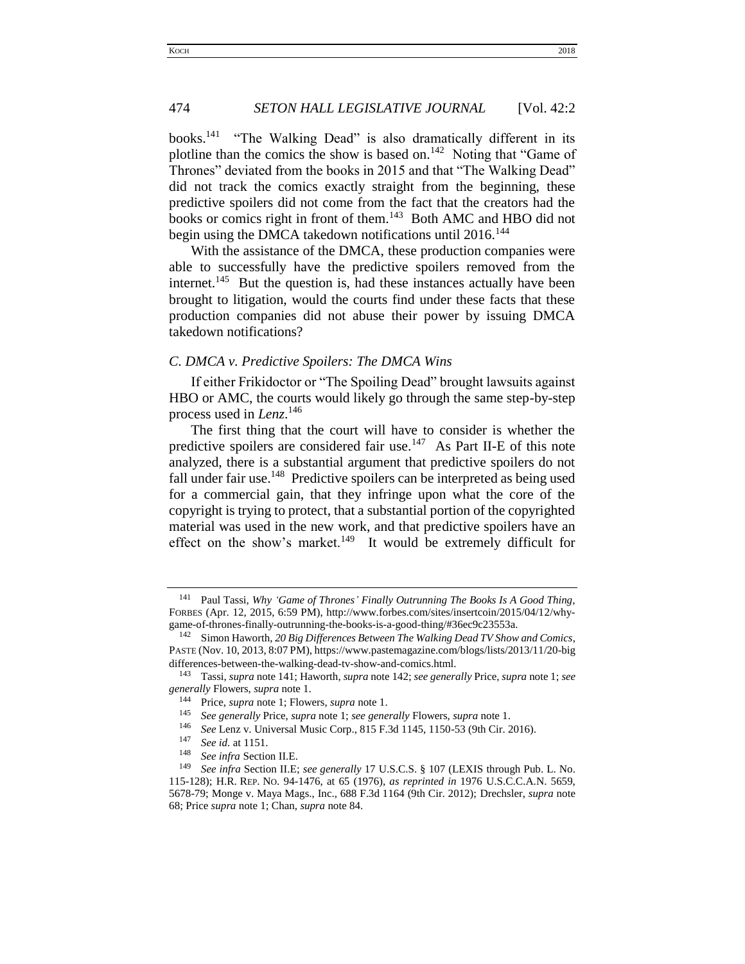books.<sup>141</sup> "The Walking Dead" is also dramatically different in its plotline than the comics the show is based on.<sup>142</sup> Noting that "Game of Thrones" deviated from the books in 2015 and that "The Walking Dead" did not track the comics exactly straight from the beginning, these predictive spoilers did not come from the fact that the creators had the books or comics right in front of them.<sup>143</sup> Both AMC and HBO did not begin using the DMCA takedown notifications until 2016.<sup>144</sup>

With the assistance of the DMCA, these production companies were able to successfully have the predictive spoilers removed from the internet.<sup>145</sup> But the question is, had these instances actually have been brought to litigation, would the courts find under these facts that these production companies did not abuse their power by issuing DMCA takedown notifications?

## <span id="page-17-0"></span>*C. DMCA v. Predictive Spoilers: The DMCA Wins*

If either Frikidoctor or "The Spoiling Dead" brought lawsuits against HBO or AMC, the courts would likely go through the same step-by-step process used in *Lenz*. 146

The first thing that the court will have to consider is whether the predictive spoilers are considered fair use.<sup>147</sup> As Part II-E of this note analyzed, there is a substantial argument that predictive spoilers do not fall under fair use.<sup>148</sup> Predictive spoilers can be interpreted as being used for a commercial gain, that they infringe upon what the core of the copyright is trying to protect, that a substantial portion of the copyrighted material was used in the new work, and that predictive spoilers have an effect on the show's market.<sup>149</sup> It would be extremely difficult for

<sup>148</sup> *See infra* Section II.E.

<sup>141</sup> Paul Tassi, *Why 'Game of Thrones' Finally Outrunning The Books Is A Good Thing,* FORBES (Apr. 12, 2015, 6:59 PM), http://www.forbes.com/sites/insertcoin/2015/04/12/whygame-of-thrones-finally-outrunning-the-books-is-a-good-thing/#36ec9c23553a.

Simon Haworth, 20 Big Differences Between The Walking Dead TV Show and Comics, PASTE (Nov. 10, 2013, 8:07 PM), https://www.pastemagazine.com/blogs/lists/2013/11/20-big differences-between-the-walking-dead-tv-show-and-comics.html.<br><sup>143</sup> Tessi sunga pote 141: Howerth, sunga pote 142: see general

<sup>143</sup> Tassi, *supra* note 141; Haworth, *supra* note 142; *see generally* Price, *supra* note 1; *see generally* Flowers, *supra* note 1.

<sup>144</sup> Price, *supra* note 1; Flowers, *supra* note 1.

<sup>145</sup> *See generally* Price, *supra* note 1; *see generally* Flowers, *supra* note 1.

<sup>146</sup> *See* Lenz v. Universal Music Corp., 815 F.3d 1145, 1150-53 (9th Cir. 2016).

*See id.* at 1151.

<sup>149</sup> *See infra* Section II.E; *see generally* 17 U.S.C.S. § 107 (LEXIS through Pub. L. No. 115-128); H.R. REP. NO. 94-1476, at 65 (1976), *as reprinted in* 1976 U.S.C.C.A.N. 5659, 5678-79; Monge v. Maya Mags., Inc., 688 F.3d 1164 (9th Cir. 2012); Drechsler, *supra* note 68; Price *supra* note 1; Chan, *supra* note 84.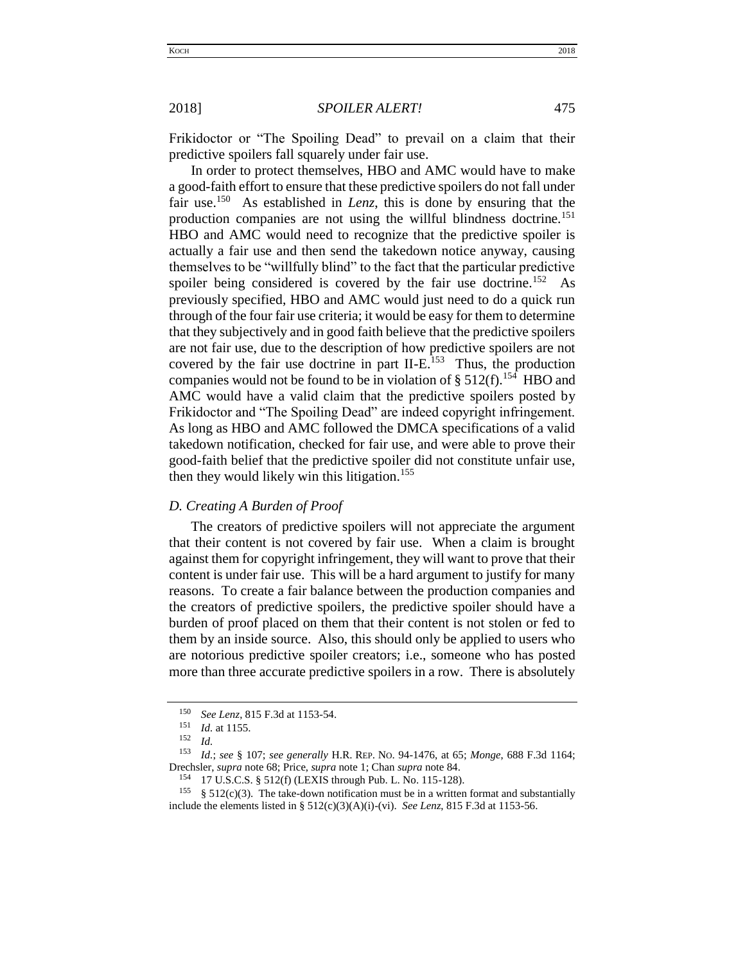Frikidoctor or "The Spoiling Dead" to prevail on a claim that their predictive spoilers fall squarely under fair use.

In order to protect themselves, HBO and AMC would have to make a good-faith effort to ensure that these predictive spoilers do not fall under fair use.<sup>150</sup> As established in *Lenz*, this is done by ensuring that the production companies are not using the willful blindness doctrine.<sup>151</sup> HBO and AMC would need to recognize that the predictive spoiler is actually a fair use and then send the takedown notice anyway, causing themselves to be "willfully blind" to the fact that the particular predictive spoiler being considered is covered by the fair use doctrine.<sup>152</sup> As previously specified, HBO and AMC would just need to do a quick run through of the four fair use criteria; it would be easy for them to determine that they subjectively and in good faith believe that the predictive spoilers are not fair use, due to the description of how predictive spoilers are not covered by the fair use doctrine in part II-E.<sup>153</sup> Thus, the production companies would not be found to be in violation of §  $512(f)$ .<sup>154</sup> HBO and AMC would have a valid claim that the predictive spoilers posted by Frikidoctor and "The Spoiling Dead" are indeed copyright infringement. As long as HBO and AMC followed the DMCA specifications of a valid takedown notification, checked for fair use, and were able to prove their good-faith belief that the predictive spoiler did not constitute unfair use, then they would likely win this litigation.<sup>155</sup>

## <span id="page-18-0"></span>*D. Creating A Burden of Proof*

The creators of predictive spoilers will not appreciate the argument that their content is not covered by fair use. When a claim is brought against them for copyright infringement, they will want to prove that their content is under fair use. This will be a hard argument to justify for many reasons. To create a fair balance between the production companies and the creators of predictive spoilers, the predictive spoiler should have a burden of proof placed on them that their content is not stolen or fed to them by an inside source. Also, this should only be applied to users who are notorious predictive spoiler creators; i.e., someone who has posted more than three accurate predictive spoilers in a row. There is absolutely

<sup>&</sup>lt;sup>150</sup> *See Lenz*, 815 F.3d at 1153-54.

*Id.* at 1155.

 $\frac{152}{153}$  *Id.* 

<sup>153</sup> *Id.*; *see* § 107; *see generally* H.R. REP. NO. 94-1476, at 65; *Monge*, 688 F.3d 1164; Drechsler, *supra* note 68; Price, *supra* note 1; Chan *supra* note 84.

<sup>154</sup> 17 U.S.C.S. § 512(f) (LEXIS through Pub. L. No. 115-128).

<sup>&</sup>lt;sup>155</sup> § 512(c)(3). The take-down notification must be in a written format and substantially include the elements listed in §  $512(c)(3)(A)(i)-(vi)$ . *See Lenz*, 815 F.3d at 1153-56.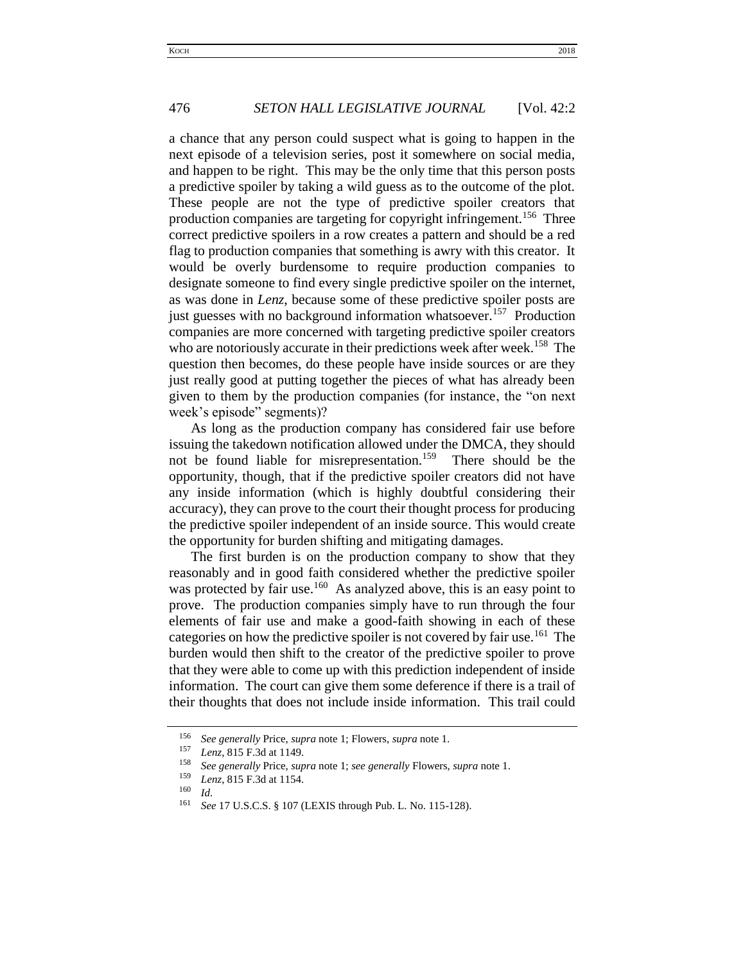a chance that any person could suspect what is going to happen in the next episode of a television series, post it somewhere on social media, and happen to be right. This may be the only time that this person posts a predictive spoiler by taking a wild guess as to the outcome of the plot. These people are not the type of predictive spoiler creators that production companies are targeting for copyright infringement.<sup>156</sup> Three correct predictive spoilers in a row creates a pattern and should be a red flag to production companies that something is awry with this creator. It would be overly burdensome to require production companies to designate someone to find every single predictive spoiler on the internet, as was done in *Lenz*, because some of these predictive spoiler posts are just guesses with no background information whatsoever.<sup>157</sup> Production companies are more concerned with targeting predictive spoiler creators who are notoriously accurate in their predictions week after week.<sup>158</sup> The question then becomes, do these people have inside sources or are they just really good at putting together the pieces of what has already been given to them by the production companies (for instance, the "on next week's episode" segments)?

As long as the production company has considered fair use before issuing the takedown notification allowed under the DMCA, they should not be found liable for misrepresentation.<sup>159</sup> There should be the opportunity, though, that if the predictive spoiler creators did not have any inside information (which is highly doubtful considering their accuracy), they can prove to the court their thought process for producing the predictive spoiler independent of an inside source. This would create the opportunity for burden shifting and mitigating damages.

The first burden is on the production company to show that they reasonably and in good faith considered whether the predictive spoiler was protected by fair use.<sup>160</sup> As analyzed above, this is an easy point to prove. The production companies simply have to run through the four elements of fair use and make a good-faith showing in each of these categories on how the predictive spoiler is not covered by fair use.<sup>161</sup> The burden would then shift to the creator of the predictive spoiler to prove that they were able to come up with this prediction independent of inside information. The court can give them some deference if there is a trail of their thoughts that does not include inside information. This trail could

<sup>156</sup> *See generally* Price, *supra* note 1; Flowers, *supra* note 1.

<sup>157</sup> *Lenz*, 815 F.3d at 1149.

<sup>158</sup> *See generally* Price, *supra* note 1; *see generally* Flowers, *supra* note 1.

<sup>159</sup> *Lenz*, 815 F.3d at 1154.

 $\frac{160}{161}$  *Id.* 

<sup>161</sup> *See* 17 U.S.C.S. § 107 (LEXIS through Pub. L. No. 115-128).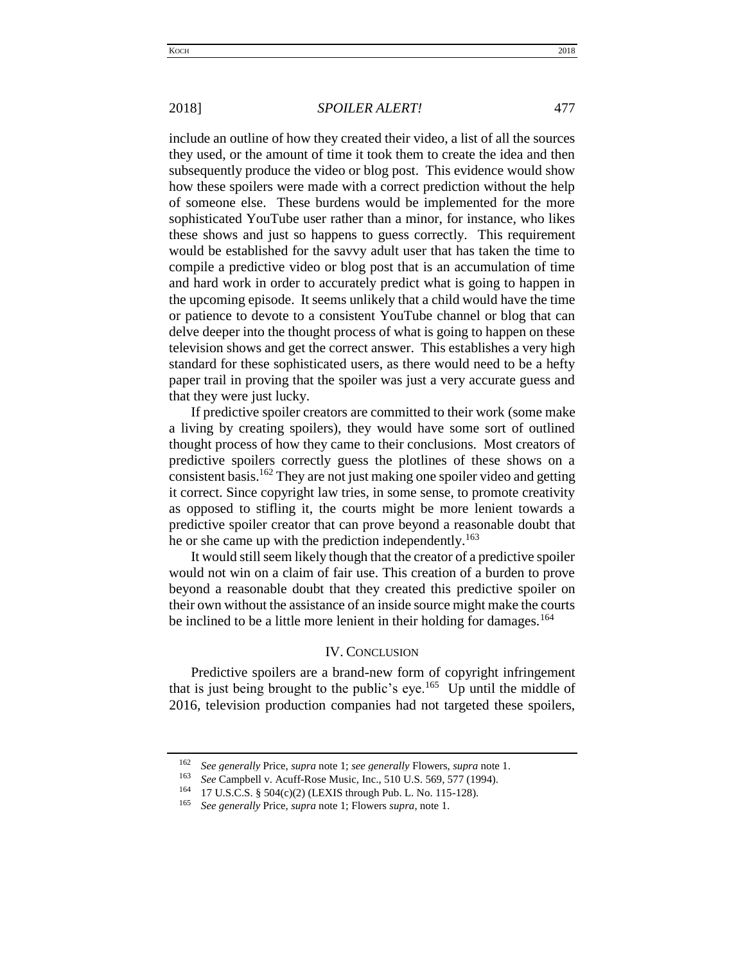## 2018] *SPOILER ALERT!* 477

include an outline of how they created their video, a list of all the sources they used, or the amount of time it took them to create the idea and then subsequently produce the video or blog post. This evidence would show how these spoilers were made with a correct prediction without the help of someone else. These burdens would be implemented for the more sophisticated YouTube user rather than a minor, for instance, who likes these shows and just so happens to guess correctly. This requirement would be established for the savvy adult user that has taken the time to compile a predictive video or blog post that is an accumulation of time and hard work in order to accurately predict what is going to happen in the upcoming episode. It seems unlikely that a child would have the time or patience to devote to a consistent YouTube channel or blog that can delve deeper into the thought process of what is going to happen on these television shows and get the correct answer. This establishes a very high standard for these sophisticated users, as there would need to be a hefty paper trail in proving that the spoiler was just a very accurate guess and that they were just lucky.

If predictive spoiler creators are committed to their work (some make a living by creating spoilers), they would have some sort of outlined thought process of how they came to their conclusions. Most creators of predictive spoilers correctly guess the plotlines of these shows on a consistent basis.<sup>162</sup> They are not just making one spoiler video and getting it correct. Since copyright law tries, in some sense, to promote creativity as opposed to stifling it, the courts might be more lenient towards a predictive spoiler creator that can prove beyond a reasonable doubt that he or she came up with the prediction independently.<sup>163</sup>

It would still seem likely though that the creator of a predictive spoiler would not win on a claim of fair use. This creation of a burden to prove beyond a reasonable doubt that they created this predictive spoiler on their own without the assistance of an inside source might make the courts be inclined to be a little more lenient in their holding for damages.<sup>164</sup>

## IV. CONCLUSION

<span id="page-20-0"></span>Predictive spoilers are a brand-new form of copyright infringement that is just being brought to the public's eye.<sup>165</sup> Up until the middle of 2016, television production companies had not targeted these spoilers,

<sup>162</sup> *See generally* Price, *supra* note 1; *see generally* Flowers, *supra* note 1.

*See* Campbell v. Acuff-Rose Music, Inc., 510 U.S. 569, 577 (1994).

<sup>164</sup> 17 U.S.C.S. § 504(c)(2) (LEXIS through Pub. L. No. 115-128).

<sup>165</sup> *See generally* Price, *supra* note 1; Flowers *supra*, note 1.